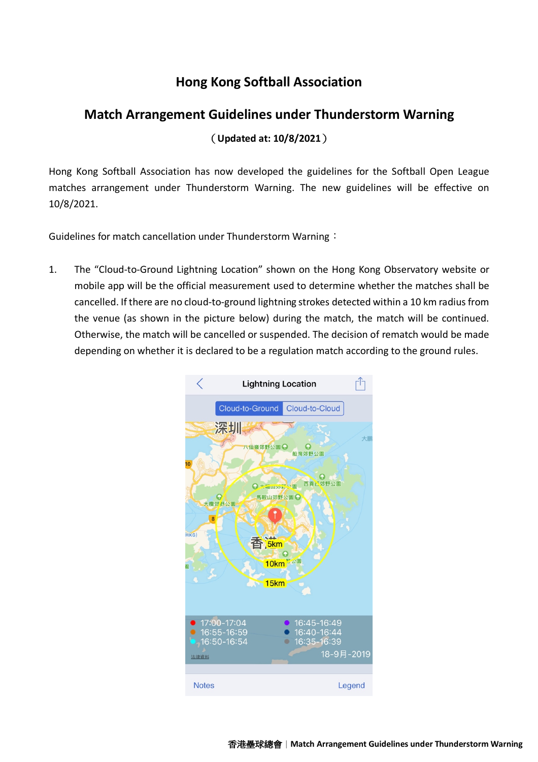## **Hong Kong Softball Association**

## **Match Arrangement Guidelines under Thunderstorm Warning** (**Updated at: 10/8/2021**)

Hong Kong Softball Association has now developed the guidelines for the Softball Open League matches arrangement under Thunderstorm Warning. The new guidelines will be effective on 10/8/2021.

Guidelines for match cancellation under Thunderstorm Warning:

1. The "Cloud-to-Ground Lightning Location" shown on the Hong Kong Observatory website or mobile app will be the official measurement used to determine whether the matches shall be cancelled. If there are no cloud-to-ground lightning strokes detected within a 10 km radius from the venue (as shown in the picture below) during the match, the match will be continued. Otherwise, the match will be cancelled or suspended. The decision of rematch would be made depending on whether it is declared to be a regulation match according to the ground rules.